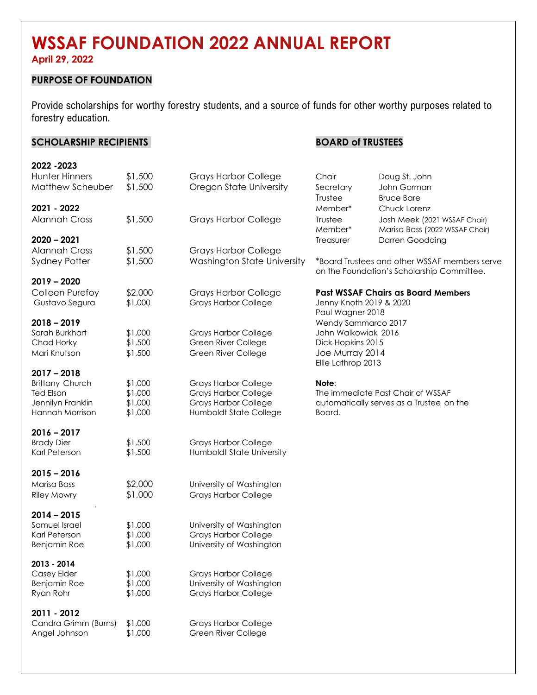# **WSSAF FOUNDATION 2022 ANNUAL REPORT**

**April 29, 2022**

#### **PURPOSE OF FOUNDATION**

Provide scholarships for worthy forestry students, and a source of funds for other worthy purposes related to forestry education.

#### **SCHOLARSHIP RECIPIENTS BOARD of TRUSTEES 2022 -2023** Hunter Hinners \$1,500 Grays Harbor College Chair Doug St. John Matthew Scheuber \$1,500 Oregon State University Secretary John Gorman Trustee Bruce Bare **2021 - 2022** Member\* Chuck Lorenz Alannah Cross \$1,500 Grays Harbor College Trustee Josh Meek (2021 WSSAF Chair) Member\* Marisa Bass (2022 WSSAF Chair) **2020 – 2021** Treasurer Darren Goodding Alannah Cross \$1,500 Grays Harbor College Sydney Potter \$1,500 Washington State University \*Board Trustees and other WSSAF members serve on the Foundation's Scholarship Committee. **2019 – 2020** Colleen Purefoy \$2,000 Grays Harbor College **Past WSSAF Chairs as Board Members** Gustavo Segura \$1,000 Grays Harbor College Jenny Knoth 2019 & 2020 Paul Wagner 2018 **2018 – 2019** Wendy Sammarco 2017 Sarah Burkhart \$1,000 Grays Harbor College John Walkowiak 2016 Chad Horky \$1,500 Green River College Dick Hopkins 2015 Mari Knutson \$1,500 Green River College Joe Murray 2014 Ellie Lathrop 2013 **2017 – 2018** Brittany Church \$1,000 Grays Harbor College **Note**: Ted Elson \$1,000 Grays Harbor College The immediate Past Chair of WSSAF Jennilyn Franklin \$1,000 Grays Harbor College automatically serves as a Trustee on the Hannah Morrison \$1,000 Humboldt State College Board. **2016 – 2017** Brady Dier  $$1,500$  Grays Harbor College Karl Peterson  $$1,500$  Humboldt State University **2015 – 2016** Marisa Bass \$2,000 University of Washington Riley Mowry \$1,000 Grays Harbor College . **2014 – 2015** Samuel Israel  $$1,000$  University of Washington Karl Peterson \$1,000 Grays Harbor College Benjamin Roe  $$1,000$  University of Washington **2013 - 2014** Casey Elder \$1,000 Grays Harbor College Benjamin Roe \$1,000 University of Washington Ryan Rohr  $$1,000$  Grays Harbor College **2011 - 2012** Candra Grimm (Burns) \$1,000 Grays Harbor College Angel Johnson \$1,000 Green River College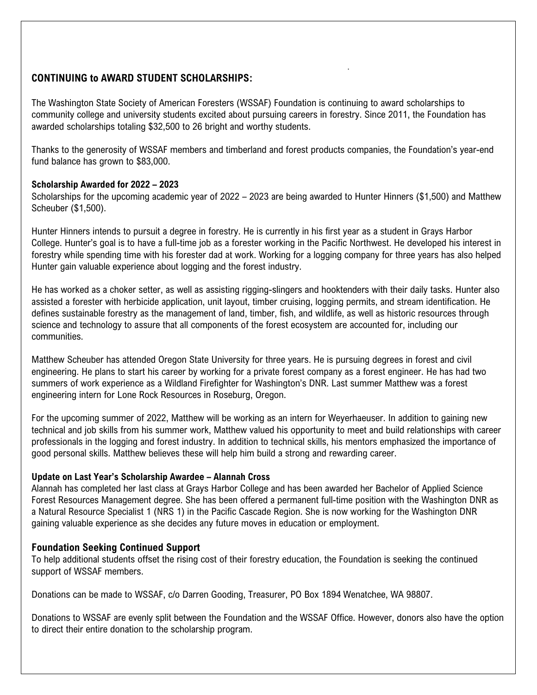## **CONTINUING to AWARD STUDENT SCHOLARSHIPS:**

The Washington State Society of American Foresters (WSSAF) Foundation is continuing to award scholarships to community college and university students excited about pursuing careers in forestry. Since 2011, the Foundation has awarded scholarships totaling \$32,500 to 26 bright and worthy students.

.

Thanks to the generosity of WSSAF members and timberland and forest products companies, the Foundation's year-end fund balance has grown to \$83,000.

#### **Scholarship Awarded for 2022 – 2023**

Scholarships for the upcoming academic year of 2022 – 2023 are being awarded to Hunter Hinners (\$1,500) and Matthew Scheuber (\$1,500).

Hunter Hinners intends to pursuit a degree in forestry. He is currently in his first year as a student in Grays Harbor College. Hunter's goal is to have a full-time job as a forester working in the Pacific Northwest. He developed his interest in forestry while spending time with his forester dad at work. Working for a logging company for three years has also helped Hunter gain valuable experience about logging and the forest industry.

He has worked as a choker setter, as well as assisting rigging-slingers and hooktenders with their daily tasks. Hunter also assisted a forester with herbicide application, unit layout, timber cruising, logging permits, and stream identification. He defines sustainable forestry as the management of land, timber, fish, and wildlife, as well as historic resources through science and technology to assure that all components of the forest ecosystem are accounted for, including our communities.

Matthew Scheuber has attended Oregon State University for three years. He is pursuing degrees in forest and civil engineering. He plans to start his career by working for a private forest company as a forest engineer. He has had two summers of work experience as a Wildland Firefighter for Washington's DNR. Last summer Matthew was a forest engineering intern for Lone Rock Resources in Roseburg, Oregon.

For the upcoming summer of 2022, Matthew will be working as an intern for Weyerhaeuser. In addition to gaining new technical and job skills from his summer work, Matthew valued his opportunity to meet and build relationships with career professionals in the logging and forest industry. In addition to technical skills, his mentors emphasized the importance of good personal skills. Matthew believes these will help him build a strong and rewarding career.

#### **Update on Last Year's Scholarship Awardee – Alannah Cross**

Alannah has completed her last class at Grays Harbor College and has been awarded her Bachelor of Applied Science Forest Resources Management degree. She has been offered a permanent full-time position with the Washington DNR as a Natural Resource Specialist 1 (NRS 1) in the Pacific Cascade Region. She is now working for the Washington DNR gaining valuable experience as she decides any future moves in education or employment.

### **Foundation Seeking Continued Support**

To help additional students offset the rising cost of their forestry education, the Foundation is seeking the continued support of WSSAF members.

Donations can be made to WSSAF, c/o Darren Gooding, Treasurer, PO Box 1894 Wenatchee, WA 98807.

Donations to WSSAF are evenly split between the Foundation and the WSSAF Office. However, donors also have the option to direct their entire donation to the scholarship program.